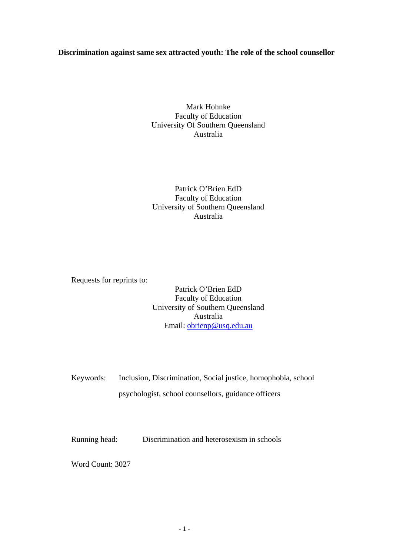## **Discrimination against same sex attracted youth: The role of the school counsellor**

Mark Hohnke Faculty of Education University Of Southern Queensland Australia

# Patrick O'Brien EdD Faculty of Education University of Southern Queensland Australia

Requests for reprints to:

Patrick O'Brien EdD Faculty of Education University of Southern Queensland Australia Email: [obrienp@usq.edu.au](mailto:obrienp@usq.edu.au) 

Keywords: Inclusion, Discrimination, Social justice, homophobia, school psychologist, school counsellors, guidance officers

Running head: Discrimination and heterosexism in schools

Word Count: 3027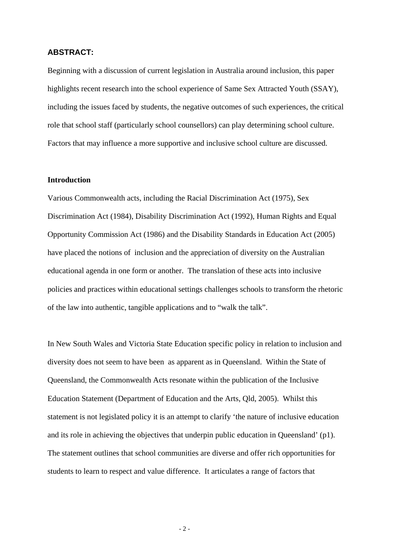### **ABSTRACT:**

Beginning with a discussion of current legislation in Australia around inclusion, this paper highlights recent research into the school experience of Same Sex Attracted Youth (SSAY), including the issues faced by students, the negative outcomes of such experiences, the critical role that school staff (particularly school counsellors) can play determining school culture. Factors that may influence a more supportive and inclusive school culture are discussed.

## **Introduction**

Various Commonwealth acts, including the Racial Discrimination Act (1975), Sex Discrimination Act (1984), Disability Discrimination Act (1992), Human Rights and Equal Opportunity Commission Act (1986) and the Disability Standards in Education Act (2005) have placed the notions of inclusion and the appreciation of diversity on the Australian educational agenda in one form or another. The translation of these acts into inclusive policies and practices within educational settings challenges schools to transform the rhetoric of the law into authentic, tangible applications and to "walk the talk".

In New South Wales and Victoria State Education specific policy in relation to inclusion and diversity does not seem to have been as apparent as in Queensland. Within the State of Queensland, the Commonwealth Acts resonate within the publication of the Inclusive Education Statement (Department of Education and the Arts, Qld, 2005). Whilst this statement is not legislated policy it is an attempt to clarify 'the nature of inclusive education and its role in achieving the objectives that underpin public education in Queensland' (p1). The statement outlines that school communities are diverse and offer rich opportunities for students to learn to respect and value difference. It articulates a range of factors that

- 2 -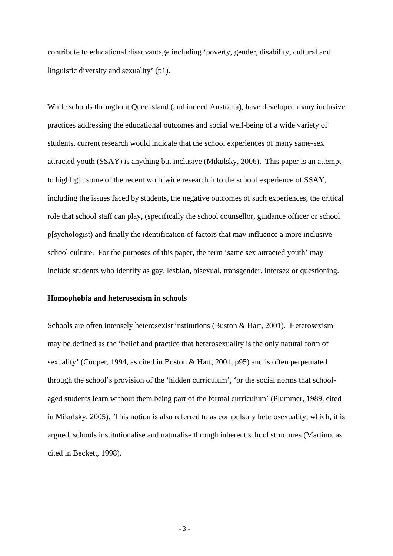contribute to educational disadvantage including 'poverty, gender, disability, cultural and linguistic diversity and sexuality' (p1).

While schools throughout Queensland (and indeed Australia), have developed many inclusive practices addressing the educational outcomes and social well-being of a wide variety of students, current research would indicate that the school experiences of many same-sex attracted youth (SSAY) is anything but inclusive (Mikulsky, 2006). This paper is an attempt to highlight some of the recent worldwide research into the school experience of SSAY, including the issues faced by students, the negative outcomes of such experiences, the critical role that school staff can play, (specifically the school counsellor, guidance officer or school p[sychologist) and finally the identification of factors that may influence a more inclusive school culture. For the purposes of this paper, the term 'same sex attracted youth' may include students who identify as gay, lesbian, bisexual, transgender, intersex or questioning.

#### **Homophobia and heterosexism in schools**

Schools are often intensely heterosexist institutions (Buston & Hart, 2001). Heterosexism may be defined as the 'belief and practice that heterosexuality is the only natural form of sexuality' (Cooper, 1994, as cited in Buston & Hart, 2001, p95) and is often perpetuated through the school's provision of the 'hidden curriculum', 'or the social norms that schoolaged students learn without them being part of the formal curriculum' (Plummer, 1989, cited in Mikulsky, 2005). This notion is also referred to as compulsory heterosexuality, which, it is argued, schools institutionalise and naturalise through inherent school structures (Martino, as cited in Beckett, 1998).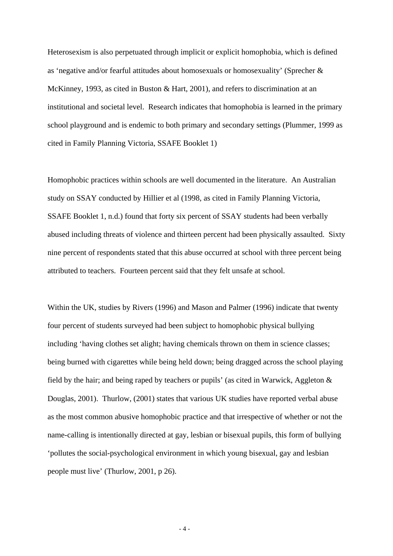Heterosexism is also perpetuated through implicit or explicit homophobia, which is defined as 'negative and/or fearful attitudes about homosexuals or homosexuality' (Sprecher & McKinney, 1993, as cited in Buston & Hart, 2001), and refers to discrimination at an institutional and societal level. Research indicates that homophobia is learned in the primary school playground and is endemic to both primary and secondary settings (Plummer, 1999 as cited in Family Planning Victoria, SSAFE Booklet 1)

Homophobic practices within schools are well documented in the literature. An Australian study on SSAY conducted by Hillier et al (1998, as cited in Family Planning Victoria, SSAFE Booklet 1, n.d.) found that forty six percent of SSAY students had been verbally abused including threats of violence and thirteen percent had been physically assaulted. Sixty nine percent of respondents stated that this abuse occurred at school with three percent being attributed to teachers. Fourteen percent said that they felt unsafe at school.

Within the UK, studies by Rivers (1996) and Mason and Palmer (1996) indicate that twenty four percent of students surveyed had been subject to homophobic physical bullying including 'having clothes set alight; having chemicals thrown on them in science classes; being burned with cigarettes while being held down; being dragged across the school playing field by the hair; and being raped by teachers or pupils' (as cited in Warwick, Aggleton & Douglas, 2001). Thurlow, (2001) states that various UK studies have reported verbal abuse as the most common abusive homophobic practice and that irrespective of whether or not the name-calling is intentionally directed at gay, lesbian or bisexual pupils, this form of bullying 'pollutes the social-psychological environment in which young bisexual, gay and lesbian people must live' (Thurlow, 2001, p 26).

 $-4-$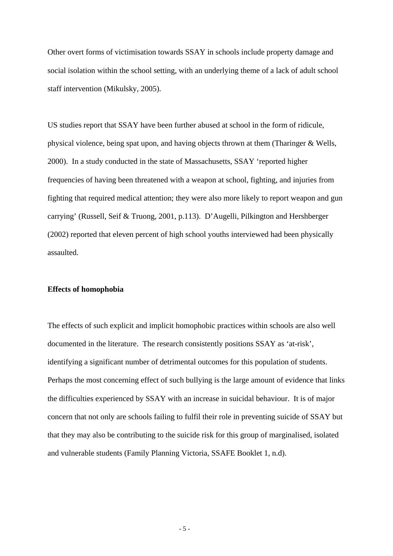Other overt forms of victimisation towards SSAY in schools include property damage and social isolation within the school setting, with an underlying theme of a lack of adult school staff intervention (Mikulsky, 2005).

US studies report that SSAY have been further abused at school in the form of ridicule, physical violence, being spat upon, and having objects thrown at them (Tharinger & Wells, 2000). In a study conducted in the state of Massachusetts, SSAY 'reported higher frequencies of having been threatened with a weapon at school, fighting, and injuries from fighting that required medical attention; they were also more likely to report weapon and gun carrying' (Russell, Seif & Truong, 2001, p.113). D'Augelli, Pilkington and Hershberger (2002) reported that eleven percent of high school youths interviewed had been physically assaulted.

### **Effects of homophobia**

The effects of such explicit and implicit homophobic practices within schools are also well documented in the literature. The research consistently positions SSAY as 'at-risk', identifying a significant number of detrimental outcomes for this population of students. Perhaps the most concerning effect of such bullying is the large amount of evidence that links the difficulties experienced by SSAY with an increase in suicidal behaviour. It is of major concern that not only are schools failing to fulfil their role in preventing suicide of SSAY but that they may also be contributing to the suicide risk for this group of marginalised, isolated and vulnerable students (Family Planning Victoria, SSAFE Booklet 1, n.d).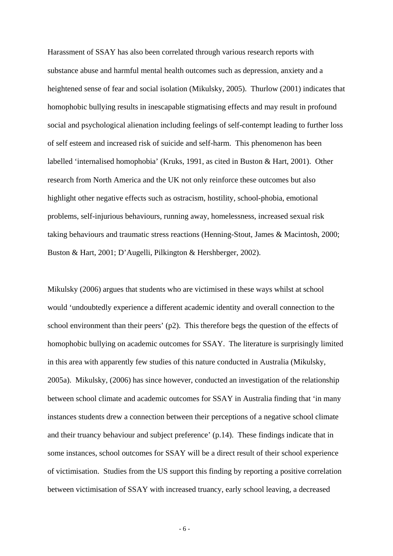Harassment of SSAY has also been correlated through various research reports with substance abuse and harmful mental health outcomes such as depression, anxiety and a heightened sense of fear and social isolation (Mikulsky, 2005). Thurlow (2001) indicates that homophobic bullying results in inescapable stigmatising effects and may result in profound social and psychological alienation including feelings of self-contempt leading to further loss of self esteem and increased risk of suicide and self-harm. This phenomenon has been labelled 'internalised homophobia' (Kruks, 1991, as cited in Buston & Hart, 2001). Other research from North America and the UK not only reinforce these outcomes but also highlight other negative effects such as ostracism, hostility, school-phobia, emotional problems, self-injurious behaviours, running away, homelessness, increased sexual risk taking behaviours and traumatic stress reactions (Henning-Stout, James & Macintosh, 2000; Buston & Hart, 2001; D'Augelli, Pilkington & Hershberger, 2002).

Mikulsky (2006) argues that students who are victimised in these ways whilst at school would 'undoubtedly experience a different academic identity and overall connection to the school environment than their peers' (p2). This therefore begs the question of the effects of homophobic bullying on academic outcomes for SSAY. The literature is surprisingly limited in this area with apparently few studies of this nature conducted in Australia (Mikulsky, 2005a). Mikulsky, (2006) has since however, conducted an investigation of the relationship between school climate and academic outcomes for SSAY in Australia finding that 'in many instances students drew a connection between their perceptions of a negative school climate and their truancy behaviour and subject preference' (p.14). These findings indicate that in some instances, school outcomes for SSAY will be a direct result of their school experience of victimisation. Studies from the US support this finding by reporting a positive correlation between victimisation of SSAY with increased truancy, early school leaving, a decreased

- 6 -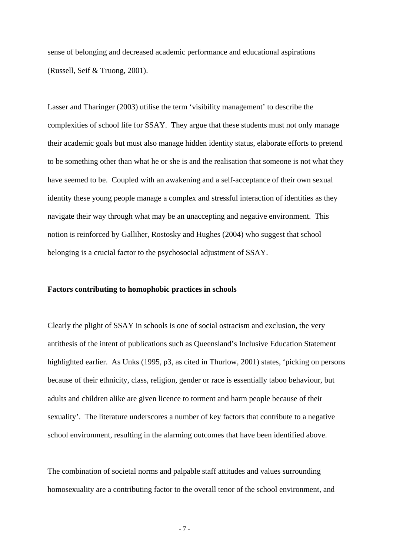sense of belonging and decreased academic performance and educational aspirations (Russell, Seif & Truong, 2001).

Lasser and Tharinger (2003) utilise the term 'visibility management' to describe the complexities of school life for SSAY. They argue that these students must not only manage their academic goals but must also manage hidden identity status, elaborate efforts to pretend to be something other than what he or she is and the realisation that someone is not what they have seemed to be. Coupled with an awakening and a self-acceptance of their own sexual identity these young people manage a complex and stressful interaction of identities as they navigate their way through what may be an unaccepting and negative environment. This notion is reinforced by Galliher, Rostosky and Hughes (2004) who suggest that school belonging is a crucial factor to the psychosocial adjustment of SSAY.

#### **Factors contributing to homophobic practices in schools**

Clearly the plight of SSAY in schools is one of social ostracism and exclusion, the very antithesis of the intent of publications such as Queensland's Inclusive Education Statement highlighted earlier. As Unks (1995, p3, as cited in Thurlow, 2001) states, 'picking on persons because of their ethnicity, class, religion, gender or race is essentially taboo behaviour, but adults and children alike are given licence to torment and harm people because of their sexuality'. The literature underscores a number of key factors that contribute to a negative school environment, resulting in the alarming outcomes that have been identified above.

The combination of societal norms and palpable staff attitudes and values surrounding homosexuality are a contributing factor to the overall tenor of the school environment, and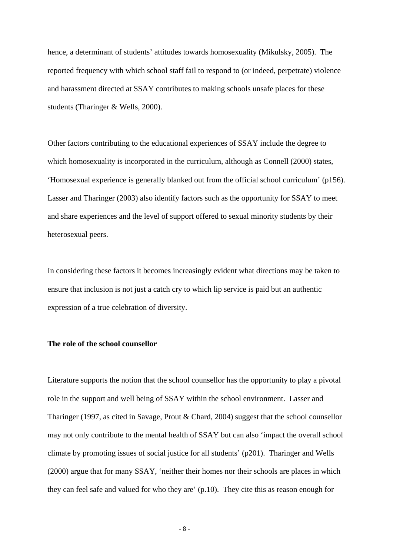hence, a determinant of students' attitudes towards homosexuality (Mikulsky, 2005). The reported frequency with which school staff fail to respond to (or indeed, perpetrate) violence and harassment directed at SSAY contributes to making schools unsafe places for these students (Tharinger & Wells, 2000).

Other factors contributing to the educational experiences of SSAY include the degree to which homosexuality is incorporated in the curriculum, although as Connell (2000) states, 'Homosexual experience is generally blanked out from the official school curriculum' (p156). Lasser and Tharinger (2003) also identify factors such as the opportunity for SSAY to meet and share experiences and the level of support offered to sexual minority students by their heterosexual peers.

In considering these factors it becomes increasingly evident what directions may be taken to ensure that inclusion is not just a catch cry to which lip service is paid but an authentic expression of a true celebration of diversity.

## **The role of the school counsellor**

Literature supports the notion that the school counsellor has the opportunity to play a pivotal role in the support and well being of SSAY within the school environment. Lasser and Tharinger (1997, as cited in Savage, Prout & Chard, 2004) suggest that the school counsellor may not only contribute to the mental health of SSAY but can also 'impact the overall school climate by promoting issues of social justice for all students' (p201). Tharinger and Wells (2000) argue that for many SSAY, 'neither their homes nor their schools are places in which they can feel safe and valued for who they are' (p.10). They cite this as reason enough for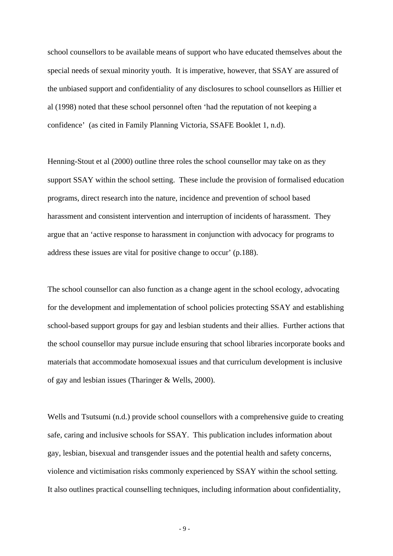school counsellors to be available means of support who have educated themselves about the special needs of sexual minority youth. It is imperative, however, that SSAY are assured of the unbiased support and confidentiality of any disclosures to school counsellors as Hillier et al (1998) noted that these school personnel often 'had the reputation of not keeping a confidence' (as cited in Family Planning Victoria, SSAFE Booklet 1, n.d).

Henning-Stout et al (2000) outline three roles the school counsellor may take on as they support SSAY within the school setting. These include the provision of formalised education programs, direct research into the nature, incidence and prevention of school based harassment and consistent intervention and interruption of incidents of harassment. They argue that an 'active response to harassment in conjunction with advocacy for programs to address these issues are vital for positive change to occur' (p.188).

The school counsellor can also function as a change agent in the school ecology, advocating for the development and implementation of school policies protecting SSAY and establishing school-based support groups for gay and lesbian students and their allies. Further actions that the school counsellor may pursue include ensuring that school libraries incorporate books and materials that accommodate homosexual issues and that curriculum development is inclusive of gay and lesbian issues (Tharinger & Wells, 2000).

Wells and Tsutsumi (n.d.) provide school counsellors with a comprehensive guide to creating safe, caring and inclusive schools for SSAY. This publication includes information about gay, lesbian, bisexual and transgender issues and the potential health and safety concerns, violence and victimisation risks commonly experienced by SSAY within the school setting. It also outlines practical counselling techniques, including information about confidentiality,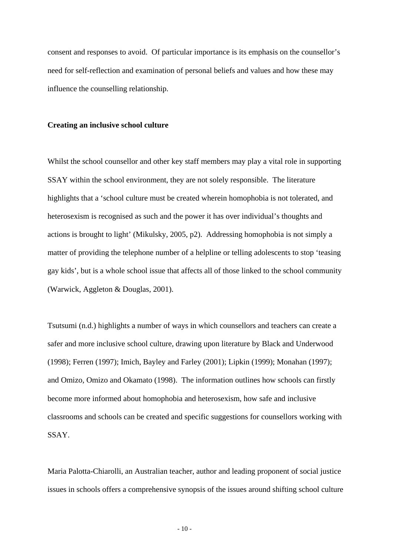consent and responses to avoid. Of particular importance is its emphasis on the counsellor's need for self-reflection and examination of personal beliefs and values and how these may influence the counselling relationship.

#### **Creating an inclusive school culture**

Whilst the school counsellor and other key staff members may play a vital role in supporting SSAY within the school environment, they are not solely responsible. The literature highlights that a 'school culture must be created wherein homophobia is not tolerated, and heterosexism is recognised as such and the power it has over individual's thoughts and actions is brought to light' (Mikulsky, 2005, p2). Addressing homophobia is not simply a matter of providing the telephone number of a helpline or telling adolescents to stop 'teasing gay kids', but is a whole school issue that affects all of those linked to the school community (Warwick, Aggleton & Douglas, 2001).

Tsutsumi (n.d.) highlights a number of ways in which counsellors and teachers can create a safer and more inclusive school culture, drawing upon literature by Black and Underwood (1998); Ferren (1997); Imich, Bayley and Farley (2001); Lipkin (1999); Monahan (1997); and Omizo, Omizo and Okamato (1998). The information outlines how schools can firstly become more informed about homophobia and heterosexism, how safe and inclusive classrooms and schools can be created and specific suggestions for counsellors working with SSAY.

Maria Palotta-Chiarolli, an Australian teacher, author and leading proponent of social justice issues in schools offers a comprehensive synopsis of the issues around shifting school culture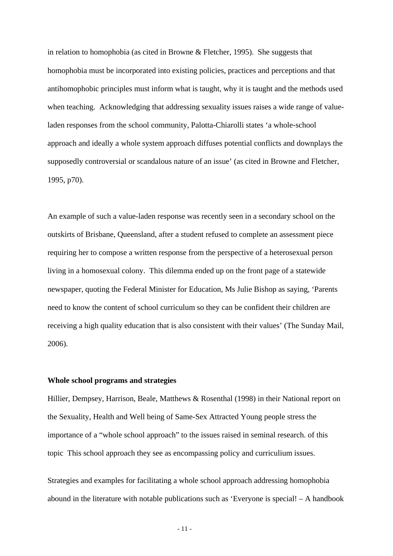in relation to homophobia (as cited in Browne & Fletcher, 1995). She suggests that homophobia must be incorporated into existing policies, practices and perceptions and that antihomophobic principles must inform what is taught, why it is taught and the methods used when teaching. Acknowledging that addressing sexuality issues raises a wide range of valueladen responses from the school community, Palotta-Chiarolli states 'a whole-school approach and ideally a whole system approach diffuses potential conflicts and downplays the supposedly controversial or scandalous nature of an issue' (as cited in Browne and Fletcher, 1995, p70).

An example of such a value-laden response was recently seen in a secondary school on the outskirts of Brisbane, Queensland, after a student refused to complete an assessment piece requiring her to compose a written response from the perspective of a heterosexual person living in a homosexual colony. This dilemma ended up on the front page of a statewide newspaper, quoting the Federal Minister for Education, Ms Julie Bishop as saying, 'Parents need to know the content of school curriculum so they can be confident their children are receiving a high quality education that is also consistent with their values' (The Sunday Mail, 2006).

## **Whole school programs and strategies**

Hillier, Dempsey, Harrison, Beale, Matthews & Rosenthal (1998) in their National report on the Sexuality, Health and Well being of Same-Sex Attracted Young people stress the importance of a "whole school approach" to the issues raised in seminal research. of this topic This school approach they see as encompassing policy and curriculium issues.

Strategies and examples for facilitating a whole school approach addressing homophobia abound in the literature with notable publications such as 'Everyone is special! – A handbook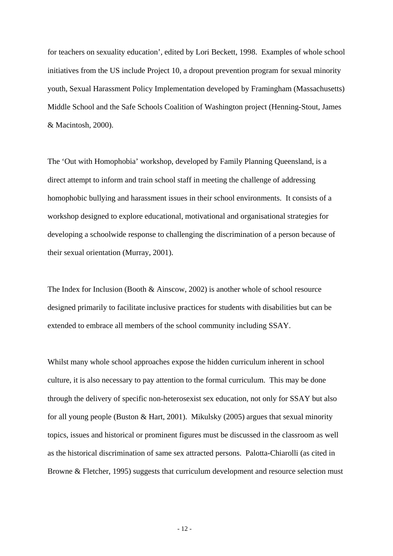for teachers on sexuality education', edited by Lori Beckett, 1998. Examples of whole school initiatives from the US include Project 10, a dropout prevention program for sexual minority youth, Sexual Harassment Policy Implementation developed by Framingham (Massachusetts) Middle School and the Safe Schools Coalition of Washington project (Henning-Stout, James & Macintosh, 2000).

The 'Out with Homophobia' workshop, developed by Family Planning Queensland, is a direct attempt to inform and train school staff in meeting the challenge of addressing homophobic bullying and harassment issues in their school environments. It consists of a workshop designed to explore educational, motivational and organisational strategies for developing a schoolwide response to challenging the discrimination of a person because of their sexual orientation (Murray, 2001).

The Index for Inclusion (Booth & Ainscow, 2002) is another whole of school resource designed primarily to facilitate inclusive practices for students with disabilities but can be extended to embrace all members of the school community including SSAY.

Whilst many whole school approaches expose the hidden curriculum inherent in school culture, it is also necessary to pay attention to the formal curriculum. This may be done through the delivery of specific non-heterosexist sex education, not only for SSAY but also for all young people (Buston & Hart, 2001). Mikulsky (2005) argues that sexual minority topics, issues and historical or prominent figures must be discussed in the classroom as well as the historical discrimination of same sex attracted persons. Palotta-Chiarolli (as cited in Browne & Fletcher, 1995) suggests that curriculum development and resource selection must

- 12 -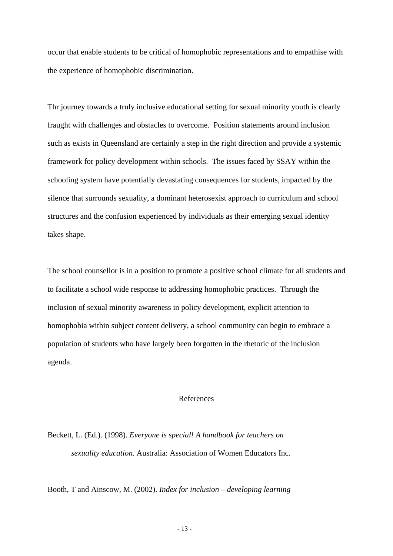occur that enable students to be critical of homophobic representations and to empathise with the experience of homophobic discrimination.

Thr journey towards a truly inclusive educational setting for sexual minority youth is clearly fraught with challenges and obstacles to overcome. Position statements around inclusion such as exists in Queensland are certainly a step in the right direction and provide a systemic framework for policy development within schools. The issues faced by SSAY within the schooling system have potentially devastating consequences for students, impacted by the silence that surrounds sexuality, a dominant heterosexist approach to curriculum and school structures and the confusion experienced by individuals as their emerging sexual identity takes shape.

The school counsellor is in a position to promote a positive school climate for all students and to facilitate a school wide response to addressing homophobic practices. Through the inclusion of sexual minority awareness in policy development, explicit attention to homophobia within subject content delivery, a school community can begin to embrace a population of students who have largely been forgotten in the rhetoric of the inclusion agenda.

### References

Beckett, L. (Ed.). (1998). *Everyone is special! A handbook for teachers on sexuality education.* Australia: Association of Women Educators Inc.

Booth, T and Ainscow, M. (2002). *Index for inclusion – developing learning*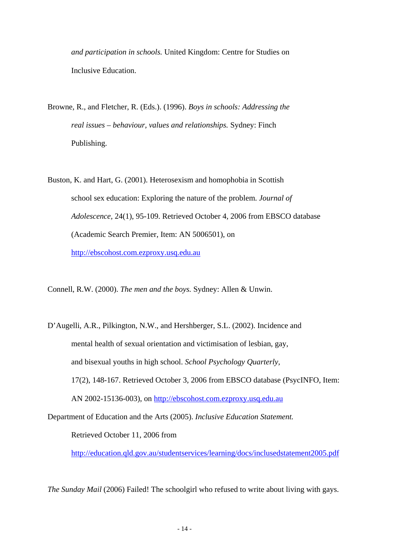*and participation in schools.* United Kingdom: Centre for Studies on Inclusive Education.

- Browne, R., and Fletcher, R. (Eds.). (1996). *Boys in schools: Addressing the real issues – behaviour, values and relationships.* Sydney: Finch Publishing.
- Buston, K. and Hart, G. (2001). Heterosexism and homophobia in Scottish school sex education: Exploring the nature of the problem. *Journal of Adolescence,* 24(1), 95-109. Retrieved October 4, 2006 from EBSCO database (Academic Search Premier, Item: AN 5006501), on [http://ebscohost.com.ezproxy.usq.edu.au](http://ebscohost.com.ezproxy.usq.edu.au/)

Connell, R.W. (2000). *The men and the boys.* Sydney: Allen & Unwin.

D'Augelli, A.R., Pilkington, N.W., and Hershberger, S.L. (2002). Incidence and mental health of sexual orientation and victimisation of lesbian, gay, and bisexual youths in high school. *School Psychology Quarterly,*  17(2), 148-167. Retrieved October 3, 2006 from EBSCO database (PsycINFO, Item: AN 2002-15136-003), on [http://ebscohost.com.ezproxy.usq.edu.au](http://ebscohost.com.ezproxy.usq.edu.au/) 

Department of Education and the Arts (2005). *Inclusive Education Statement.* 

Retrieved October 11, 2006 from

<http://education.qld.gov.au/studentservices/learning/docs/inclusedstatement2005.pdf>

*The Sunday Mail* (2006) Failed! The schoolgirl who refused to write about living with gays.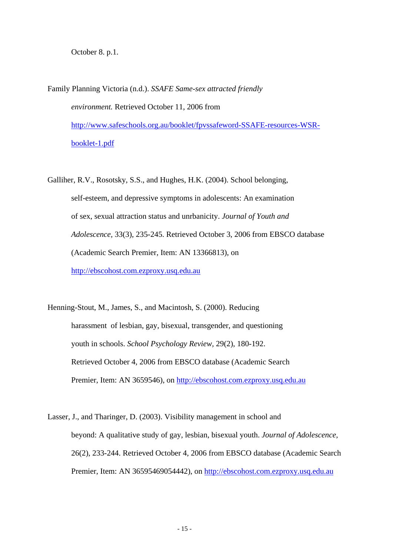October 8. p.1.

Family Planning Victoria (n.d.). *SSAFE Same-sex attracted friendly environment.* Retrieved October 11, 2006 from [http://www.safeschools.org.au/booklet/fpvssafeword-SSAFE-resources-WSR](http://www.safeschools.org.au/booklet/fpvssafeword-SSAFE-resources-WSR-booklet-1.pdf)[booklet-1.pdf](http://www.safeschools.org.au/booklet/fpvssafeword-SSAFE-resources-WSR-booklet-1.pdf)

Galliher, R.V., Rosotsky, S.S., and Hughes, H.K. (2004). School belonging, self-esteem, and depressive symptoms in adolescents: An examination of sex, sexual attraction status and unrbanicity. *Journal of Youth and Adolescence,* 33(3), 235-245. Retrieved October 3, 2006 from EBSCO database (Academic Search Premier, Item: AN 13366813), on [http://ebscohost.com.ezproxy.usq.edu.au](http://ebscohost.com.ezproxy.usq.edu.au/)

Henning-Stout, M., James, S., and Macintosh, S. (2000). Reducing harassment of lesbian, gay, bisexual, transgender, and questioning youth in schools. *School Psychology Review,* 29(2), 180-192. Retrieved October 4, 2006 from EBSCO database (Academic Search Premier, Item: AN 3659546), on [http://ebscohost.com.ezproxy.usq.edu.au](http://ebscohost.com.ezproxy.usq.edu.au/)

Lasser, J., and Tharinger, D. (2003). Visibility management in school and beyond: A qualitative study of gay, lesbian, bisexual youth. *Journal of Adolescence,*  26(2), 233-244. Retrieved October 4, 2006 from EBSCO database (Academic Search Premier, Item: AN 36595469054442), on [http://ebscohost.com.ezproxy.usq.edu.au](http://ebscohost.com.ezproxy.usq.edu.au/)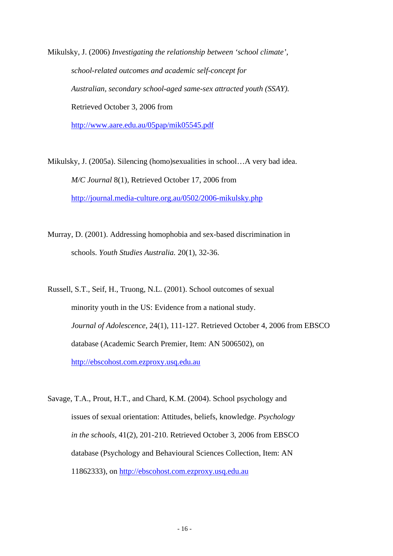Mikulsky, J. (2006) *Investigating the relationship between 'school climate', school-related outcomes and academic self-concept for Australian, secondary school-aged same-sex attracted youth (SSAY).*  Retrieved October 3, 2006 from

<http://www.aare.edu.au/05pap/mik05545.pdf>

Mikulsky, J. (2005a). Silencing (homo)sexualities in school…A very bad idea. *M/C Journal* 8(1), Retrieved October 17, 2006 from <http://journal.media-culture.org.au/0502/2006-mikulsky.php>

Murray, D. (2001). Addressing homophobia and sex-based discrimination in schools. *Youth Studies Australia.* 20(1), 32-36.

Russell, S.T., Seif, H., Truong, N.L. (2001). School outcomes of sexual minority youth in the US: Evidence from a national study. *Journal of Adolescence,* 24(1), 111-127. Retrieved October 4, 2006 from EBSCO database (Academic Search Premier, Item: AN 5006502), on [http://ebscohost.com.ezproxy.usq.edu.au](http://ebscohost.com.ezproxy.usq.edu.au/)

Savage, T.A., Prout, H.T., and Chard, K.M. (2004). School psychology and issues of sexual orientation: Attitudes, beliefs, knowledge. *Psychology in the schools*, 41(2), 201-210. Retrieved October 3, 2006 from EBSCO database (Psychology and Behavioural Sciences Collection, Item: AN 11862333), on [http://ebscohost.com.ezproxy.usq.edu.au](http://ebscohost.com.ezproxy.usq.edu.au/)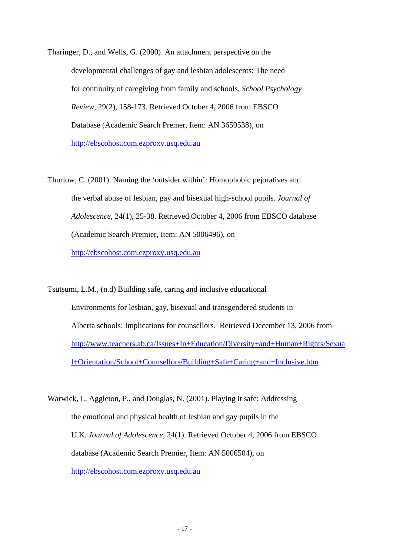Tharinger, D., and Wells, G. (2000). An attachment perspective on the developmental challenges of gay and lesbian adolescents: The need for continuity of caregiving from family and schools. *School Psychology Review,* 29(2), 158-173. Retrieved October 4, 2006 from EBSCO Database (Academic Search Premer, Item: AN 3659538), on [http://ebscohost.com.ezproxy.usq.edu.au](http://ebscohost.com.ezproxy.usq.edu.au/)

Thurlow, C. (2001). Naming the 'outsider within': Homophobic pejoratives and the verbal abuse of lesbian, gay and bisexual high-school pupils. *Journal of Adolescence,* 24(1), 25-38. Retrieved October 4, 2006 from EBSCO database (Academic Search Premier, Item: AN 5006496), on [http://ebscohost.com.ezproxy.usq.edu.au](http://ebscohost.com.ezproxy.usq.edu.au/)

Tsutsumi, L.M., (n.d) Building safe, caring and inclusive educational Environments for lesbian, gay, bisexual and transgendered students in Alberta schools: Implications for counsellors. Retrieved December 13, 2006 from [http://www.teachers.ab.ca/Issues+In+Education/Diversity+and+Human+Rights/Sexua](http://www.teachers.ab.ca/Issues+In+Education/Diversity+and+Human+Rights/Sexual+Orientation/School+Counsellors/Building+Safe+Caring+and+Inclusive.htm) [l+Orientation/School+Counsellors/Building+Safe+Caring+and+Inclusive.htm](http://www.teachers.ab.ca/Issues+In+Education/Diversity+and+Human+Rights/Sexual+Orientation/School+Counsellors/Building+Safe+Caring+and+Inclusive.htm) 

Warwick, I., Aggleton, P., and Douglas, N. (2001). Playing it safe: Addressing the emotional and physical health of lesbian and gay pupils in the U.K. *Journal of Adolescence,* 24(1). Retrieved October 4, 2006 from EBSCO database (Academic Search Premier, Item: AN 5006504), on [http://ebscohost.com.ezproxy.usq.edu.au](http://ebscohost.com.ezproxy.usq.edu.au/)